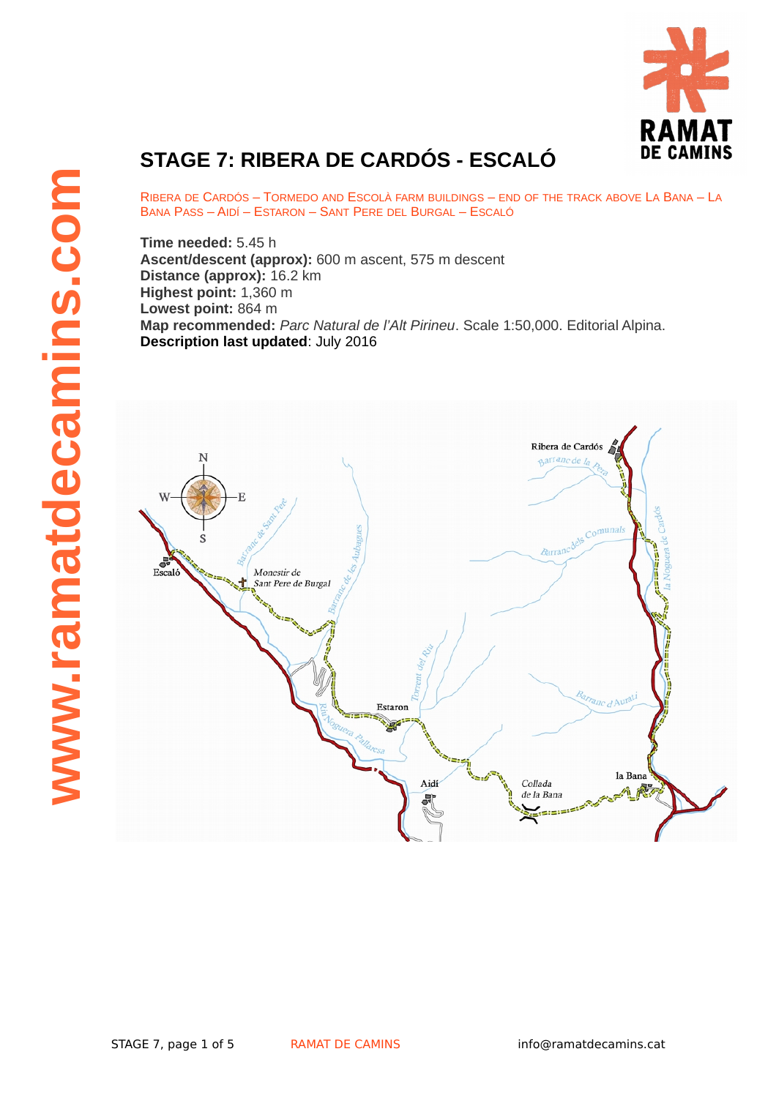

## **STAGE 7: RIBERA DE CARDÓS - ESCALÓ**

RIBERA DE CARDÓS – TORMEDO AND ESCOLÀ FARM BUILDINGS – END OF THE TRACK ABOVE LA BANA – LA BANA PASS – AIDÍ – ESTARON – SANT PERE DEL BURGAL – ESCALÓ

**Time needed:** 5.45 h **Ascent/descent (approx):** 600 m ascent, 575 m descent **Distance (approx):** 16.2 km **Highest point:** 1,360 m **Lowest point:** 864 m **Map recommended:** *Parc Natural de l'Alt Pirineu*. Scale 1:50,000. Editorial Alpina. **Description last updated**: July 2016

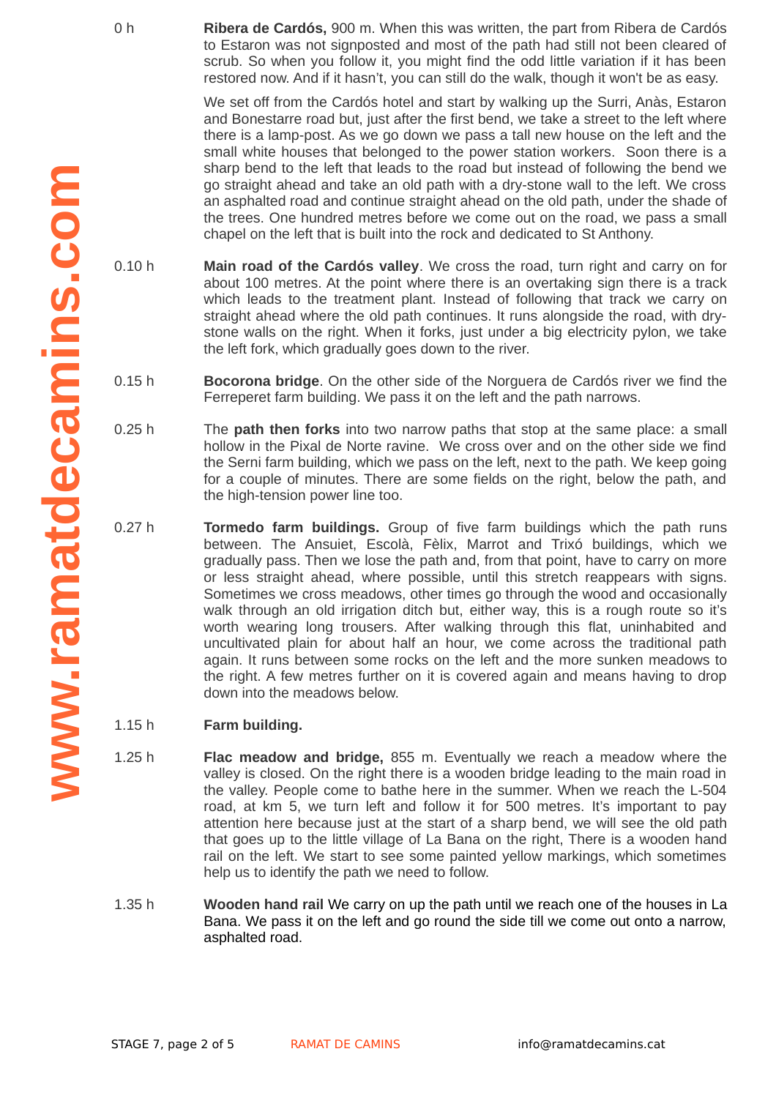0 h **Ribera de Cardós,** 900 m. When this was written, the part from Ribera de Cardós to Estaron was not signposted and most of the path had still not been cleared of scrub. So when you follow it, you might find the odd little variation if it has been restored now. And if it hasn't, you can still do the walk, though it won't be as easy.

> We set off from the Cardós hotel and start by walking up the Surri, Anàs, Estaron and Bonestarre road but, just after the first bend, we take a street to the left where there is a lamp-post. As we go down we pass a tall new house on the left and the small white houses that belonged to the power station workers. Soon there is a sharp bend to the left that leads to the road but instead of following the bend we go straight ahead and take an old path with a dry-stone wall to the left. We cross an asphalted road and continue straight ahead on the old path, under the shade of the trees. One hundred metres before we come out on the road, we pass a small chapel on the left that is built into the rock and dedicated to St Anthony.

- 0.10 h **Main road of the Cardós valley**. We cross the road, turn right and carry on for about 100 metres. At the point where there is an overtaking sign there is a track which leads to the treatment plant. Instead of following that track we carry on straight ahead where the old path continues. It runs alongside the road, with drystone walls on the right. When it forks, just under a big electricity pylon, we take the left fork, which gradually goes down to the river.
- 0.15 h **Bocorona bridge**. On the other side of the Norguera de Cardós river we find the Ferreperet farm building. We pass it on the left and the path narrows.
- 0.25 h The **path then forks** into two narrow paths that stop at the same place: a small hollow in the Pixal de Norte ravine. We cross over and on the other side we find the Serni farm building, which we pass on the left, next to the path. We keep going for a couple of minutes. There are some fields on the right, below the path, and the high-tension power line too.
- $0.27h$ Tormedo farm buildings. Group of five farm buildings which the path runs between. The Ansuiet, Escolà, Fèlix, Marrot and Trixó buildings, which we gradually pass. Then we lose the path and, from that point, have to carry on more or less straight ahead, where possible, until this stretch reappears with signs. Sometimes we cross meadows, other times go through the wood and occasionally walk through an old irrigation ditch but, either way, this is a rough route so it's worth wearing long trousers. After walking through this flat, uninhabited and uncultivated plain for about half an hour, we come across the traditional path again. It runs between some rocks on the left and the more sunken meadows to the right. A few metres further on it is covered again and means having to drop down into the meadows below.
- 1.15 h **Farm building.**
- 1.25 h **Flac meadow and bridge,** 855 m. Eventually we reach a meadow where the valley is closed. On the right there is a wooden bridge leading to the main road in the valley. People come to bathe here in the summer. When we reach the L-504 road, at km 5, we turn left and follow it for 500 metres. It's important to pay attention here because just at the start of a sharp bend, we will see the old path that goes up to the little village of La Bana on the right, There is a wooden hand rail on the left. We start to see some painted yellow markings, which sometimes help us to identify the path we need to follow.
- 1.35 h **Wooden hand rail** We carry on up the path until we reach one of the houses in La Bana. We pass it on the left and go round the side till we come out onto a narrow, asphalted road.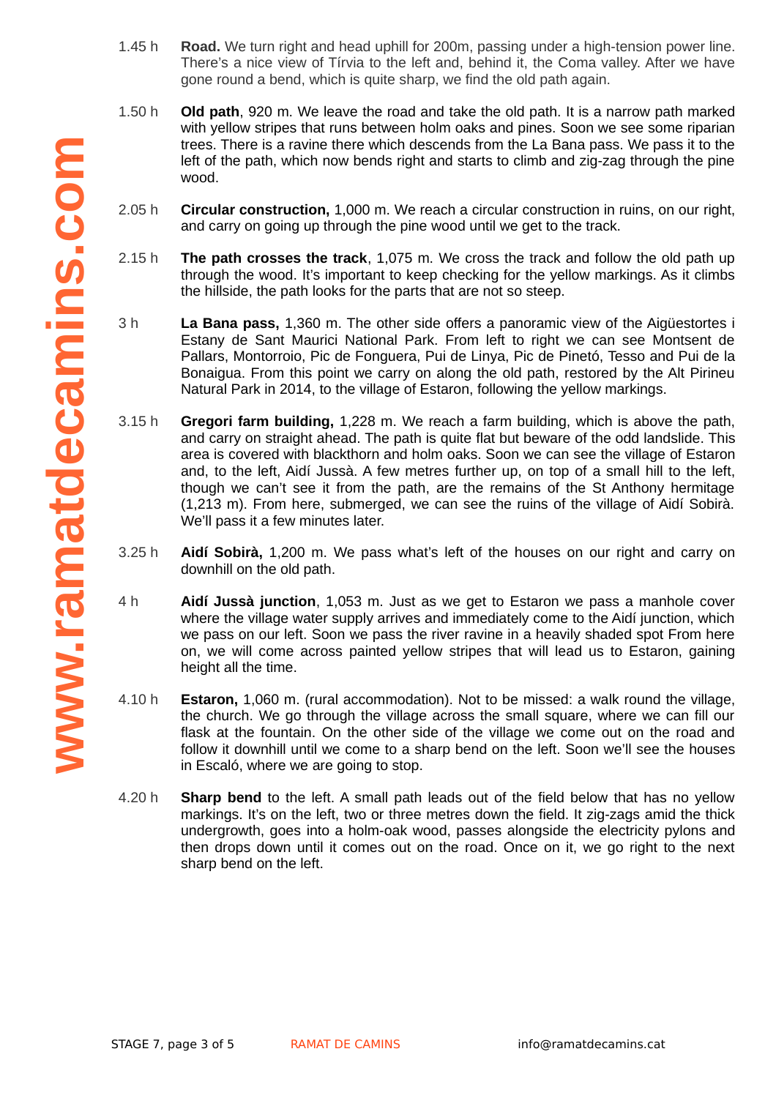- 1.45 h **Road.** We turn right and head uphill for 200m, passing under a high-tension power line. There's a nice view of Tírvia to the left and, behind it, the Coma valley. After we have gone round a bend, which is quite sharp, we find the old path again.
- 1.50 h **Old path**, 920 m. We leave the road and take the old path. It is a narrow path marked with yellow stripes that runs between holm oaks and pines. Soon we see some riparian trees. There is a ravine there which descends from the La Bana pass. We pass it to the left of the path, which now bends right and starts to climb and zig-zag through the pine wood.
- 2.05 h **Circular construction,** 1,000 m. We reach a circular construction in ruins, on our right, and carry on going up through the pine wood until we get to the track.
- 2.15 h **The path crosses the track**, 1,075 m. We cross the track and follow the old path up through the wood. It's important to keep checking for the yellow markings. As it climbs the hillside, the path looks for the parts that are not so steep.
- 3 h **La Bana pass,** 1,360 m. The other side offers a panoramic view of the Aigüestortes i Estany de Sant Maurici National Park. From left to right we can see Montsent de Pallars, Montorroio, Pic de Fonguera, Pui de Linya, Pic de Pinetó, Tesso and Pui de la Bonaigua. From this point we carry on along the old path, restored by the Alt Pirineu Natural Park in 2014, to the village of Estaron, following the yellow markings.
- 3.15 h **Gregori farm building,** 1,228 m. We reach a farm building, which is above the path, and carry on straight ahead. The path is quite flat but beware of the odd landslide. This area is covered with blackthorn and holm oaks. Soon we can see the village of Estaron and, to the left, Aidí Jussà. A few metres further up, on top of a small hill to the left, though we can't see it from the path, are the remains of the St Anthony hermitage (1,213 m). From here, submerged, we can see the ruins of the village of Aidí Sobirà. We'll pass it a few minutes later.
- 3.25 h **Aidí Sobirà,** 1,200 m. We pass what's left of the houses on our right and carry on downhill on the old path.
- 4 h **Aidí Jussà junction**, 1,053 m. Just as we get to Estaron we pass a manhole cover where the village water supply arrives and immediately come to the Aidí junction, which we pass on our left. Soon we pass the river ravine in a heavily shaded spot From here on, we will come across painted yellow stripes that will lead us to Estaron, gaining height all the time.
- 4.10 h **Estaron,** 1,060 m. (rural accommodation). Not to be missed: a walk round the village, the church. We go through the village across the small square, where we can fill our flask at the fountain. On the other side of the village we come out on the road and follow it downhill until we come to a sharp bend on the left. Soon we'll see the houses in Escaló, where we are going to stop.
- 4.20 h **Sharp bend** to the left. A small path leads out of the field below that has no yellow markings. It's on the left, two or three metres down the field. It zig-zags amid the thick undergrowth, goes into a holm-oak wood, passes alongside the electricity pylons and then drops down until it comes out on the road. Once on it, we go right to the next sharp bend on the left.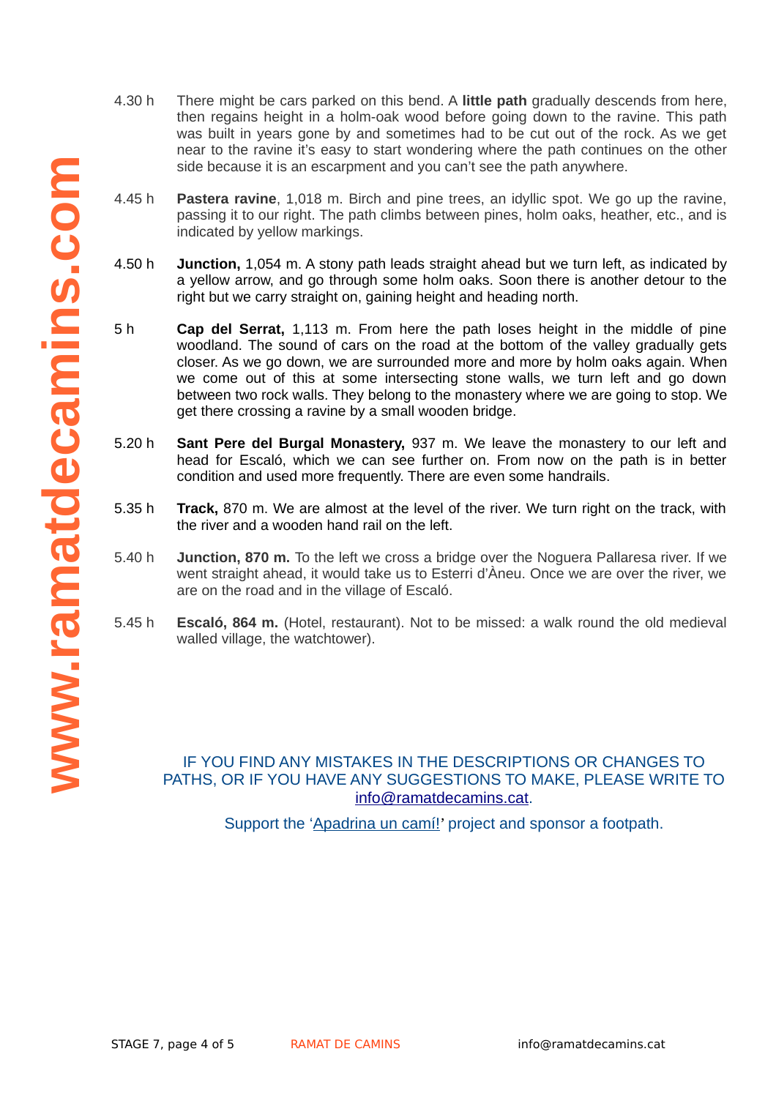- **www .ramatdecami i i i i i nscom**
- 4.30 h There might be cars parked on this bend. A **little path** gradually descends from here, then regains height in a holm-oak wood before going down to the ravine. This path was built in years gone by and sometimes had to be cut out of the rock. As we get near to the ravine it's easy to start wondering where the path continues on the other side because it is an escarpment and you can't see the path anywhere.
	- $4.45h$ **Pastera ravine**, 1,018 m. Birch and pine trees, an idyllic spot. We go up the ravine, passing it to our right. The path climbs between pines, holm oaks, heather, etc., and is indicated by yellow markings.
	- 4.50 h **Junction,** 1,054 m. A stony path leads straight ahead but we turn left, as indicated by a yellow arrow, and go through some holm oaks. Soon there is another detour to the right but we carry straight on, gaining height and heading north.
	- 5 h **Cap del Serrat,** 1,113 m. From here the path loses height in the middle of pine woodland. The sound of cars on the road at the bottom of the valley gradually gets closer. As we go down, we are surrounded more and more by holm oaks again. When we come out of this at some intersecting stone walls, we turn left and go down between two rock walls. They belong to the monastery where we are going to stop. We get there crossing a ravine by a small wooden bridge.
	- 5.20 h **Sant Pere del Burgal Monastery,** 937 m. We leave the monastery to our left and head for Escaló, which we can see further on. From now on the path is in better condition and used more frequently. There are even some handrails.
	- 5.35 h **Track,** 870 m. We are almost at the level of the river. We turn right on the track, with the river and a wooden hand rail on the left.
	- 5.40 h **Junction, 870 m.** To the left we cross a bridge over the Noguera Pallaresa river. If we went straight ahead, it would take us to Esterri d'Àneu. Once we are over the river, we are on the road and in the village of Escaló.
	- 5.45 h **Escaló, 864 m.** (Hotel, restaurant). Not to be missed: a walk round the old medieval walled village, the watchtower).

## IF YOU FIND ANY MISTAKES IN THE DESCRIPTIONS OR CHANGES TO PATHS, OR IF YOU HAVE ANY SUGGESTIONS TO MAKE, PLEASE WRITE TO info@ramatdecamins.cat.

Support the ['Apadrina un camí!](http://www.ramatdecamins.cat/camins-vells/vols-apadrinar-un-cami/)' project and sponsor a footpath.